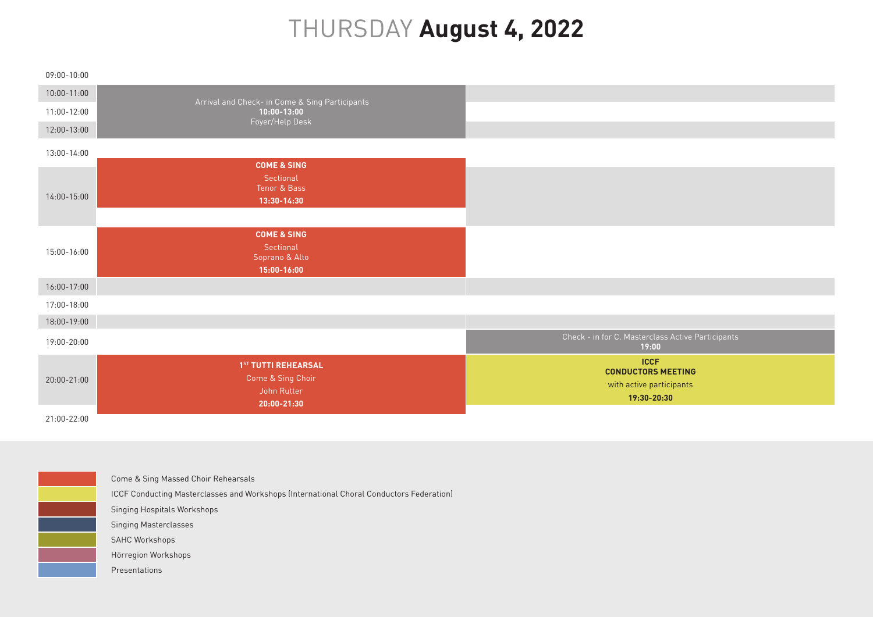## THURSDAY **August 4, 2022**

| 09:00-10:00     |                                                                        |                                                                                     |
|-----------------|------------------------------------------------------------------------|-------------------------------------------------------------------------------------|
| $10:00 - 11:00$ |                                                                        |                                                                                     |
| $11:00 - 12:00$ | Arrival and Check- in Come & Sing Participants<br>$10:00 - 13:00$      |                                                                                     |
| 12:00-13:00     | Foyer/Help Desk                                                        |                                                                                     |
| 13:00-14:00     |                                                                        |                                                                                     |
| 14:00-15:00     | <b>COME &amp; SING</b><br>Sectional<br>Tenor & Bass<br>13:30-14:30     |                                                                                     |
| 15:00-16:00     | <b>COME &amp; SING</b><br>Sectional<br>Soprano & Alto<br>15:00-16:00   |                                                                                     |
| 16:00-17:00     |                                                                        |                                                                                     |
| 17:00-18:00     |                                                                        |                                                                                     |
| 18:00-19:00     |                                                                        |                                                                                     |
| 19:00-20:00     |                                                                        | Check - in for C. Masterclass Active Participants<br>19:00                          |
| 20:00-21:00     | 1ST TUTTI REHEARSAL<br>Come & Sing Choir<br>John Rutter<br>20:00-21:30 | <b>ICCF</b><br><b>CONDUCTORS MEETING</b><br>with active participants<br>19:30-20:30 |

21:00-22:00



Come & Sing Massed Choir Rehearsals

ICCF Conducting Masterclasses and Workshops (International Choral Conductors Federation)

Singing Hospitals Workshops

Singing Masterclasses

SAHC Workshops

Hörregion Workshops

Presentations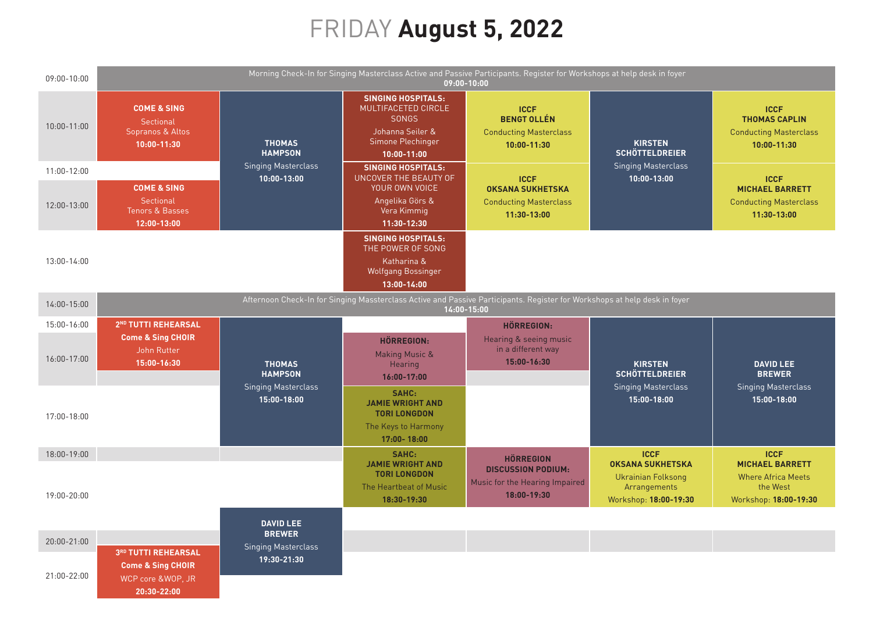## FRIDAY **August 5, 2022**

| 09:00-10:00 | Morning Check-In for Singing Masterclass Active and Passive Participants. Register for Workshops at help desk in foyer<br>09:00-10:00    |                                             |                                                                                                                              |                                                                                   |                                                                    |                                                                                     |
|-------------|------------------------------------------------------------------------------------------------------------------------------------------|---------------------------------------------|------------------------------------------------------------------------------------------------------------------------------|-----------------------------------------------------------------------------------|--------------------------------------------------------------------|-------------------------------------------------------------------------------------|
| 10:00-11:00 | <b>COME &amp; SING</b><br>Sectional<br>Sopranos & Altos<br>10:00-11:30                                                                   | <b>THOMAS</b><br><b>HAMPSON</b>             | <b>SINGING HOSPITALS:</b><br>MULTIFACETED CIRCLE<br><b>SONGS</b><br>Johanna Seiler &<br>Simone Plechinger<br>$10:00 - 11:00$ | <b>ICCF</b><br><b>BENGT OLLÉN</b><br><b>Conducting Masterclass</b><br>10:00-11:30 | <b>KIRSTEN</b><br><b>SCHÖTTELDREIER</b>                            | <b>ICCF</b><br><b>THOMAS CAPLIN</b><br><b>Conducting Masterclass</b><br>10:00-11:30 |
| 11:00-12:00 |                                                                                                                                          | <b>Singing Masterclass</b><br>10:00-13:00   | <b>SINGING HOSPITALS:</b><br><b>UNCOVER THE BEAUTY OF</b>                                                                    | <b>ICCF</b>                                                                       | <b>Singing Masterclass</b><br>10:00-13:00                          | <b>ICCF</b>                                                                         |
| 12:00-13:00 | <b>COME &amp; SING</b><br>Sectional<br><b>Tenors &amp; Basses</b><br>12:00-13:00                                                         |                                             | YOUR OWN VOICE<br>Angelika Görs &<br>Vera Kimmig<br>11:30-12:30                                                              | <b>OKSANA SUKHETSKA</b><br><b>Conducting Masterclass</b><br>11:30-13:00           |                                                                    | <b>MICHAEL BARRETT</b><br><b>Conducting Masterclass</b><br>11:30-13:00              |
|             |                                                                                                                                          |                                             | <b>SINGING HOSPITALS:</b><br>THE POWER OF SONG                                                                               |                                                                                   |                                                                    |                                                                                     |
| 13:00-14:00 |                                                                                                                                          |                                             | Katharina &<br><b>Wolfgang Bossinger</b><br>13:00-14:00                                                                      |                                                                                   |                                                                    |                                                                                     |
| 14:00-15:00 | Afternoon Check-In for Singing Massterclass Active and Passive Participants. Register for Workshops at help desk in foyer<br>14:00-15:00 |                                             |                                                                                                                              |                                                                                   |                                                                    |                                                                                     |
| 15:00-16:00 | 2 <sup>ND</sup> TUTTI REHEARSAL                                                                                                          |                                             |                                                                                                                              | <b>HÖRREGION:</b>                                                                 |                                                                    |                                                                                     |
| 16:00-17:00 | <b>Come &amp; Sing CHOIR</b><br>John Rutter<br>15:00-16:30                                                                               | <b>THOMAS</b><br><b>HAMPSON</b>             | <b>HÖRREGION:</b><br><b>Making Music &amp;</b><br>Hearing<br>16:00-17:00                                                     | Hearing & seeing music<br>in a different way<br>15:00-16:30                       | <b>KIRSTEN</b><br><b>SCHÖTTELDREIER</b>                            | <b>DAVID LEE</b><br><b>BREWER</b>                                                   |
| 17:00-18:00 |                                                                                                                                          | <b>Singing Masterclass</b><br>15:00-18:00   | SAHC:<br><b>JAMIE WRIGHT AND</b><br><b>TORI LONGDON</b><br>The Keys to Harmony<br>17:00-18:00                                |                                                                                   | <b>Singing Masterclass</b><br>15:00-18:00                          | <b>Singing Masterclass</b><br>15:00-18:00                                           |
| 18:00-19:00 |                                                                                                                                          |                                             | SAHC:<br><b>JAMIE WRIGHT AND</b>                                                                                             | <b>HÖRREGION</b>                                                                  | <b>ICCF</b><br><b>OKSANA SUKHETSKA</b>                             | <b>ICCF</b><br><b>MICHAEL BARRETT</b>                                               |
| 19:00-20:00 |                                                                                                                                          |                                             | <b>TORI LONGDON</b><br>The Heartbeat of Music<br>18:30-19:30                                                                 | <b>DISCUSSION PODIUM:</b><br>Music for the Hearing Impaired<br>18:00-19:30        | <b>Ukrainian Folksong</b><br>Arrangements<br>Workshop: 18:00-19:30 | <b>Where Africa Meets</b><br>the West<br>Workshop: 18:00-19:30                      |
|             |                                                                                                                                          | <b>DAVID LEE</b>                            |                                                                                                                              |                                                                                   |                                                                    |                                                                                     |
| 20:00-21:00 |                                                                                                                                          | <b>BREWER</b><br><b>Singing Masterclass</b> |                                                                                                                              |                                                                                   |                                                                    |                                                                                     |
| 21:00-22:00 | 3RD TUTTI REHEARSAL<br><b>Come &amp; Sing CHOIR</b><br>WCP core &WOP, JR<br>20:30-22:00                                                  | 19:30-21:30                                 |                                                                                                                              |                                                                                   |                                                                    |                                                                                     |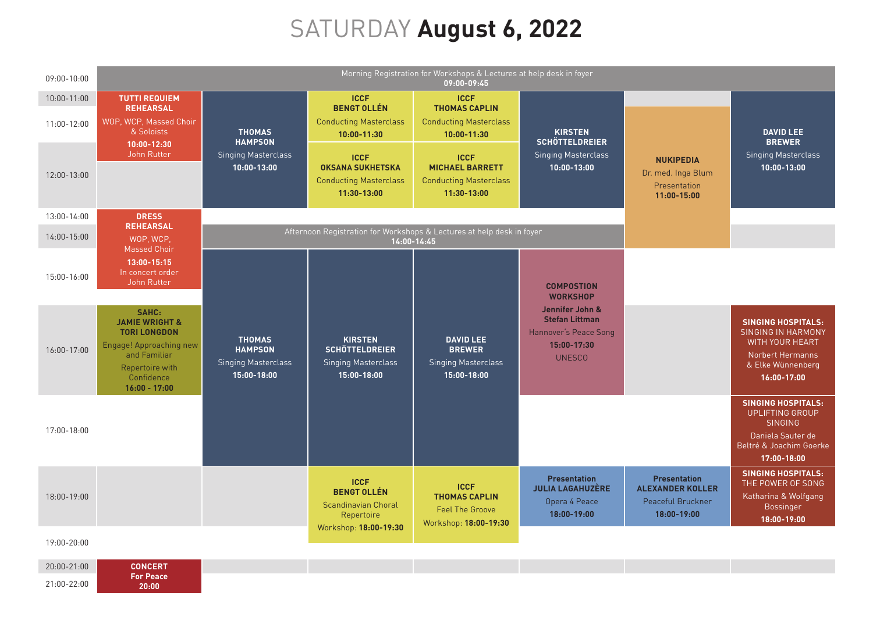## SATURDAY **August 6, 2022**